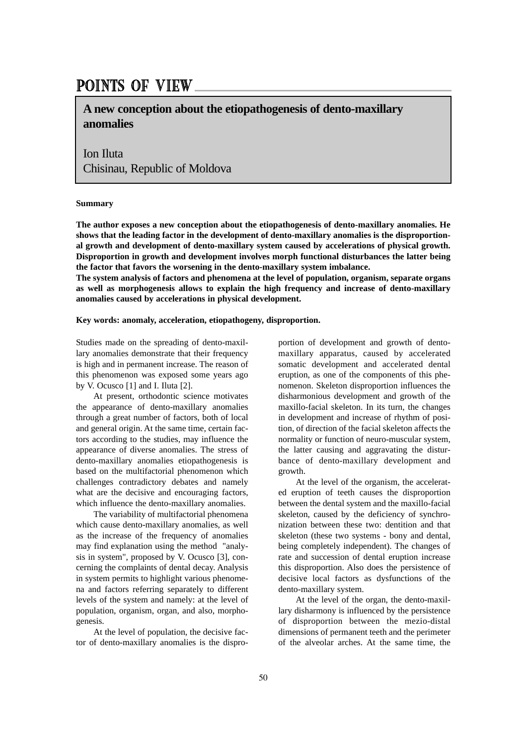## POINTS OF VIEW

**A new conception about the etiopathogenesis of dento-maxillary anomalies** 

Ion Iluta Chisinau, Republic of Moldova

## **Summary**

**The author exposes a new conception about the etiopathogenesis of dento-maxillary anomalies. He shows that the leading factor in the development of dento-maxillary anomalies is the disproportional growth and development of dento-maxillary system caused by accelerations of physical growth. Disproportion in growth and development involves morph functional disturbances the latter being the factor that favors the worsening in the dento-maxillary system imbalance.**

**The system analysis of factors and phenomena at the level of population, organism, separate organs as well as morphogenesis allows to explain the high frequency and increase of dento-maxillary anomalies caused by accelerations in physical development.**

## **Key words: anomaly, acceleration, etiopathogeny, disproportion.**

Studies made on the spreading of dento-maxillary anomalies demonstrate that their frequency is high and in permanent increase. The reason of this phenomenon was exposed some years ago by V. Ocusco [1] and I. Iluta [2].

At present, orthodontic science motivates the appearance of dento-maxillary anomalies through a great number of factors, both of local and general origin. At the same time, certain factors according to the studies, may influence the appearance of diverse anomalies. The stress of dento-maxillary anomalies etiopathogenesis is based on the multifactorial phenomenon which challenges contradictory debates and namely what are the decisive and encouraging factors, which influence the dento-maxillary anomalies.

The variability of multifactorial phenomena which cause dento-maxillary anomalies, as well as the increase of the frequency of anomalies may find explanation using the method "analysis in system", proposed by V. Ocusco [3], concerning the complaints of dental decay. Analysis in system permits to highlight various phenomena and factors referring separately to different levels of the system and namely: at the level of population, organism, organ, and also, morphogenesis.

At the level of population, the decisive factor of dento-maxillary anomalies is the disproportion of development and growth of dentomaxillary apparatus, caused by accelerated somatic development and accelerated dental eruption, as one of the components of this phenomenon. Skeleton disproportion influences the disharmonious development and growth of the maxillo-facial skeleton. In its turn, the changes in development and increase of rhythm of position, of direction of the facial skeleton affects the normality or function of neuro-muscular system, the latter causing and aggravating the disturbance of dento-maxillary development and growth.

At the level of the organism, the accelerated eruption of teeth causes the disproportion between the dental system and the maxillo-facial skeleton, caused by the deficiency of synchronization between these two: dentition and that skeleton (these two systems - bony and dental, being completely independent). The changes of rate and succession of dental eruption increase this disproportion. Also does the persistence of decisive local factors as dysfunctions of the dento-maxillary system.

At the level of the organ, the dento-maxillary disharmony is influenced by the persistence of disproportion between the mezio-distal dimensions of permanent teeth and the perimeter of the alveolar arches. At the same time, the